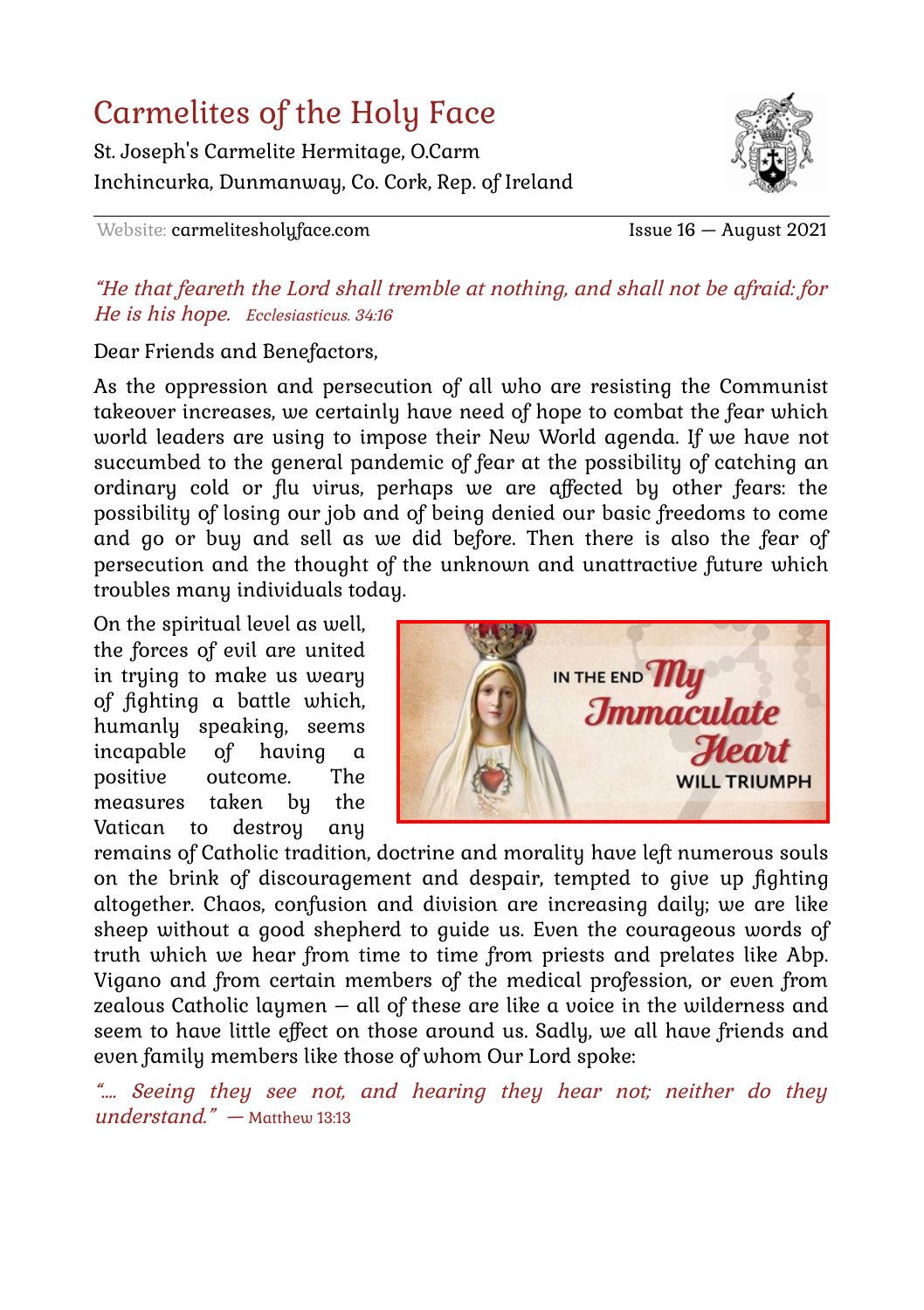### Carmelites of the Holy Face

St. Joseph's Carmelite Hermitage, O.Carm Inchincurka, Dunmanway, Co. Cork, Rep. of Ireland



Website: carmelitesholyface.com Issue 16 — August 2021

#### "He that feareth the Lord shall tremble at nothing, and shall not be afraid: for He is his hope. Ecclesiasticus. 34:16

Dear Friends and Benefactors,

As the oppression and persecution of all who are resisting the Communist takeover increases, we certainly have need of hope to combat the fear which world leaders are using to impose their New World agenda. If we have not succumbed to the general pandemic of fear at the possibility of catching an ordinary cold or flu virus, perhaps we are affected by other fears: the possibility of losing our job and of being denied our basic freedoms to come and go or buy and sell as we did before. Then there is also the fear of persecution and the thought of the unknown and unattractive future which troubles many individuals today.

On the spiritual level as well, the forces of evil are united in trying to make us weary of fighting a battle which, humanly speaking, seems incapable of having a positive outcome. The measures taken by the Vatican to destroy any



remains of Catholic tradition, doctrine and morality have left numerous souls on the brink of discouragement and despair, tempted to give up fighting altogether. Chaos, confusion and division are increasing daily; we are like sheep without a good shepherd to guide us. Even the courageous words of truth which we hear from time to time from priests and prelates like Abp. Vigano and from certain members of the medical profession, or even from zealous Catholic laymen – all of these are like a voice in the wilderness and seem to have little effect on those around us. Sadly, we all have friends and even family members like those of whom Our Lord spoke:

"…. Seeing they see not, and hearing they hear not; neither do they understand." — Matthew 13:13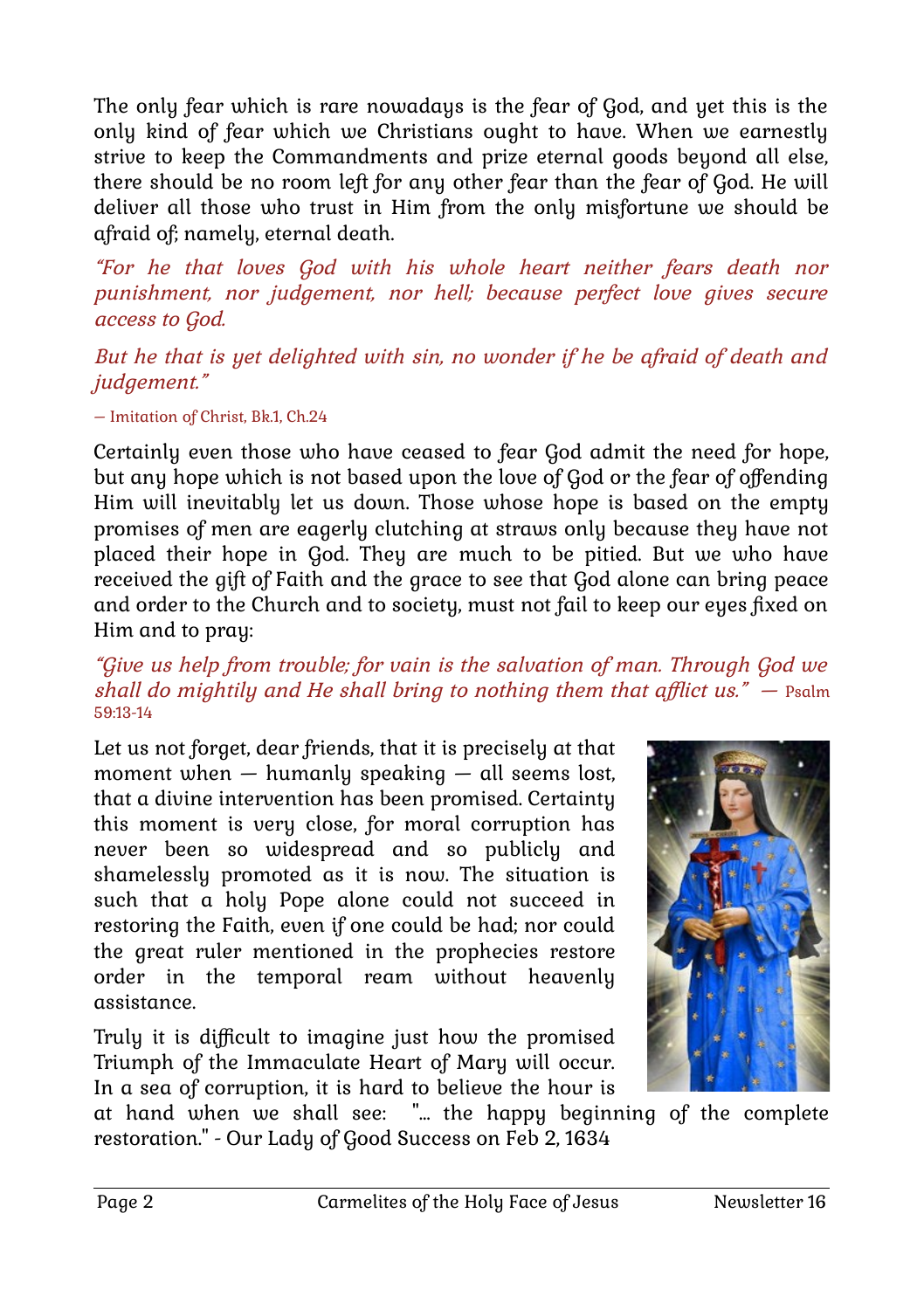The only fear which is rare nowadays is the fear of God, and yet this is the only kind of fear which we Christians ought to have. When we earnestly strive to keep the Commandments and prize eternal goods beyond all else, there should be no room left for any other fear than the fear of God. He will deliver all those who trust in Him from the only misfortune we should be afraid of; namely, eternal death.

"For he that loves God with his whole heart neither fears death nor punishment, nor judgement, nor hell; because perfect love gives secure access to God.

But he that is yet delighted with sin, no wonder if he be afraid of death and judgement."

– Imitation of Christ, Bk.1, Ch.24

Certainly even those who have ceased to fear God admit the need for hope, but any hope which is not based upon the love of God or the fear of offending Him will inevitably let us down. Those whose hope is based on the empty promises of men are eagerly clutching at straws only because they have not placed their hope in God. They are much to be pitied. But we who have received the gift of Faith and the grace to see that God alone can bring peace and order to the Church and to society, must not fail to keep our eyes fixed on Him and to pray:

#### "Give us help from trouble; for vain is the salvation of man. Through God we shall do mightily and He shall bring to nothing them that afflict us."  $-$  Psalm 59:13-14

Let us not forget, dear friends, that it is precisely at that moment when  $-$  humanly speaking  $-$  all seems lost, that a divine intervention has been promised. Certainty this moment is very close, for moral corruption has never been so widespread and so publicly and shamelessly promoted as it is now. The situation is such that a holy Pope alone could not succeed in restoring the Faith, even if one could be had; nor could the great ruler mentioned in the prophecies restore order in the temporal ream without heavenly assistance.

Truly it is difficult to imagine just how the promised Triumph of the Immaculate Heart of Mary will occur. In a sea of corruption, it is hard to believe the hour is



at hand when we shall see: "… the happy beginning of the complete restoration." - Our Lady of Good Success on Feb 2, 1634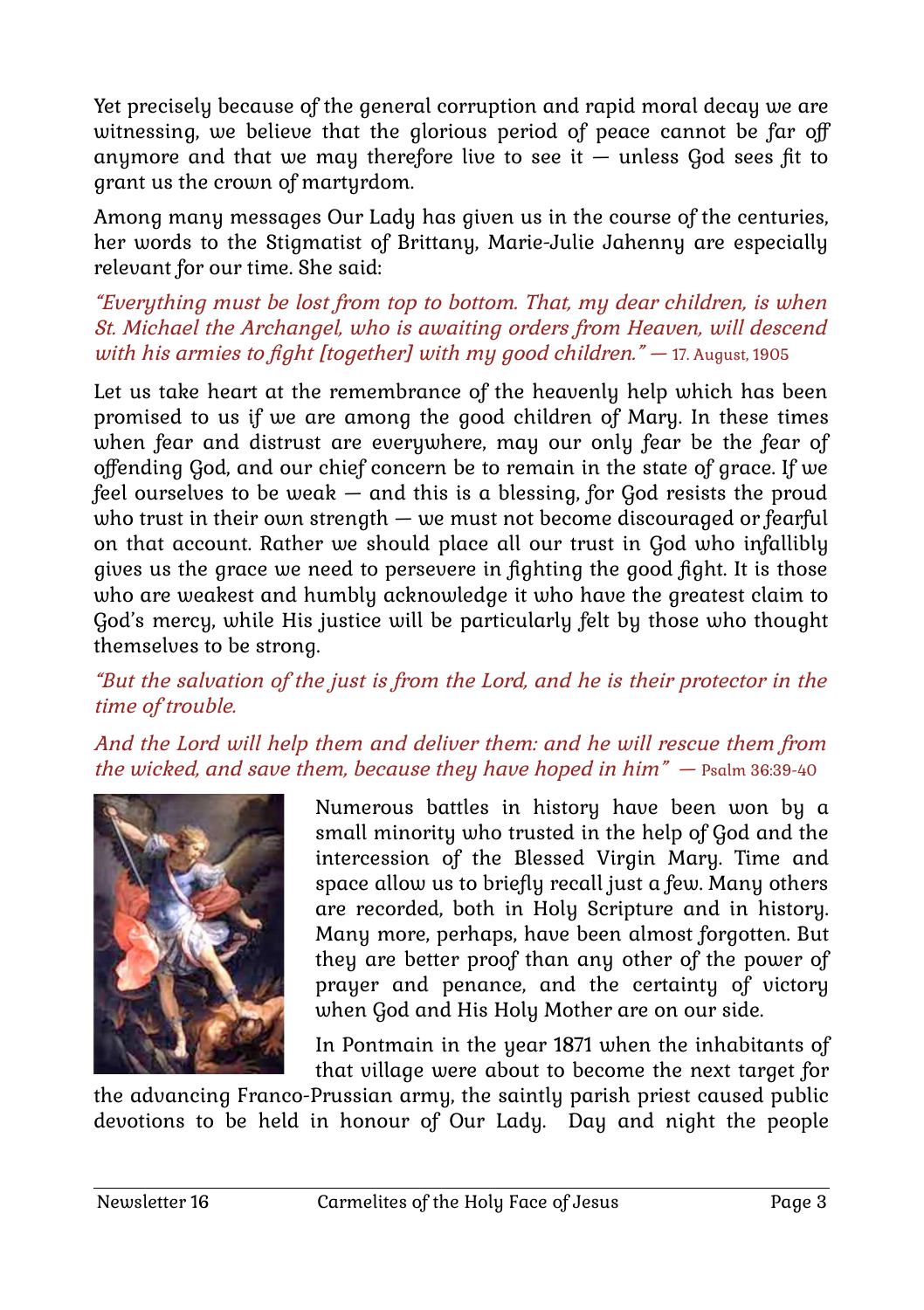Yet precisely because of the general corruption and rapid moral decay we are witnessing, we believe that the glorious period of peace cannot be far off anymore and that we may therefore live to see it — unless God sees fit to grant us the crown of martyrdom.

Among many messages Our Lady has given us in the course of the centuries, her words to the Stigmatist of Brittany, Marie-Julie Jahenny are especially relevant for our time. She said:

### "Everything must be lost from top to bottom. That, my dear children, is when St. Michael the Archangel, who is awaiting orders from Heaven, will descend with his armies to fight [together] with my good children."  $-$  17. August, 1905

Let us take heart at the remembrance of the heavenly help which has been promised to us if we are among the good children of Mary. In these times when fear and distrust are everywhere, may our only fear be the fear of offending God, and our chief concern be to remain in the state of grace. If we feel ourselves to be weak — and this is a blessing, for God resists the proud who trust in their own strength — we must not become discouraged or fearful on that account. Rather we should place all our trust in God who infallibly gives us the grace we need to persevere in fighting the good fight. It is those who are weakest and humbly acknowledge it who have the greatest claim to God's mercy, while His justice will be particularly felt by those who thought themselves to be strong.

### "But the salvation of the just is from the Lord, and he is their protector in the time of trouble.

And the Lord will help them and deliver them: and he will rescue them from the wicked, and save them, because they have hoped in him" — Psalm 36:39-40



Numerous battles in history have been won by a small minority who trusted in the help of God and the intercession of the Blessed Virgin Mary. Time and space allow us to briefly recall just a few. Many others are recorded, both in Holy Scripture and in history. Many more, perhaps, have been almost forgotten. But they are better proof than any other of the power of prayer and penance, and the certainty of victory when God and His Holy Mother are on our side.

In Pontmain in the year 1871 when the inhabitants of that village were about to become the next target for

the advancing Franco-Prussian army, the saintly parish priest caused public devotions to be held in honour of Our Lady. Day and night the people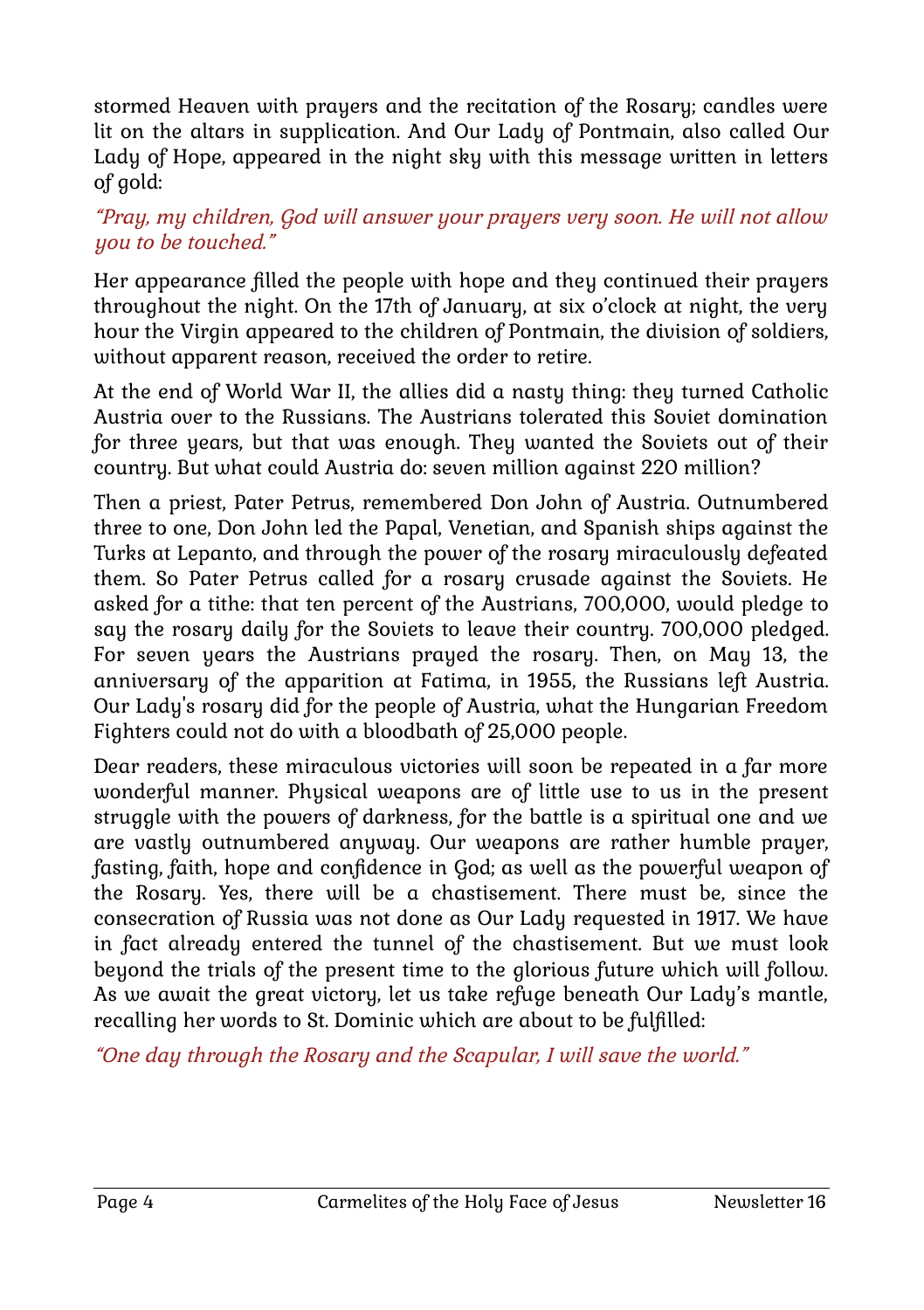stormed Heaven with prayers and the recitation of the Rosary; candles were lit on the altars in supplication. And Our Lady of Pontmain, also called Our Lady of Hope, appeared in the night sky with this message written in letters of gold:

### "Pray, my children, God will answer your prayers very soon. He will not allow you to be touched."

Her appearance filled the people with hope and they continued their prayers throughout the night. On the 17th of January, at six o'clock at night, the very hour the Virgin appeared to the children of Pontmain, the division of soldiers, without apparent reason, received the order to retire.

At the end of World War II, the allies did a nasty thing: they turned Catholic Austria over to the Russians. The Austrians tolerated this Soviet domination for three years, but that was enough. They wanted the Soviets out of their country. But what could Austria do: seven million against 220 million?

Then a priest, Pater Petrus, remembered Don John of Austria. Outnumbered three to one, Don John led the Papal, Venetian, and Spanish ships against the Turks at Lepanto, and through the power of the rosary miraculously defeated them. So Pater Petrus called for a rosary crusade against the Soviets. He asked for a tithe: that ten percent of the Austrians, 700,000, would pledge to say the rosary daily for the Soviets to leave their country. 700,000 pledged. For seven years the Austrians prayed the rosary. Then, on May 13, the anniversary of the apparition at Fatima, in 1955, the Russians left Austria. Our Lady's rosary did for the people of Austria, what the Hungarian Freedom Fighters could not do with a bloodbath of 25,000 people.

Dear readers, these miraculous victories will soon be repeated in a far more wonderful manner. Physical weapons are of little use to us in the present struggle with the powers of darkness, for the battle is a spiritual one and we are vastly outnumbered anyway. Our weapons are rather humble prayer, fasting, faith, hope and confidence in God; as well as the powerful weapon of the Rosary. Yes, there will be a chastisement. There must be, since the consecration of Russia was not done as Our Lady requested in 1917. We have in fact already entered the tunnel of the chastisement. But we must look beyond the trials of the present time to the glorious future which will follow. As we await the great victory, let us take refuge beneath Our Lady's mantle, recalling her words to St. Dominic which are about to be fulfilled:

"One day through the Rosary and the Scapular, I will save the world."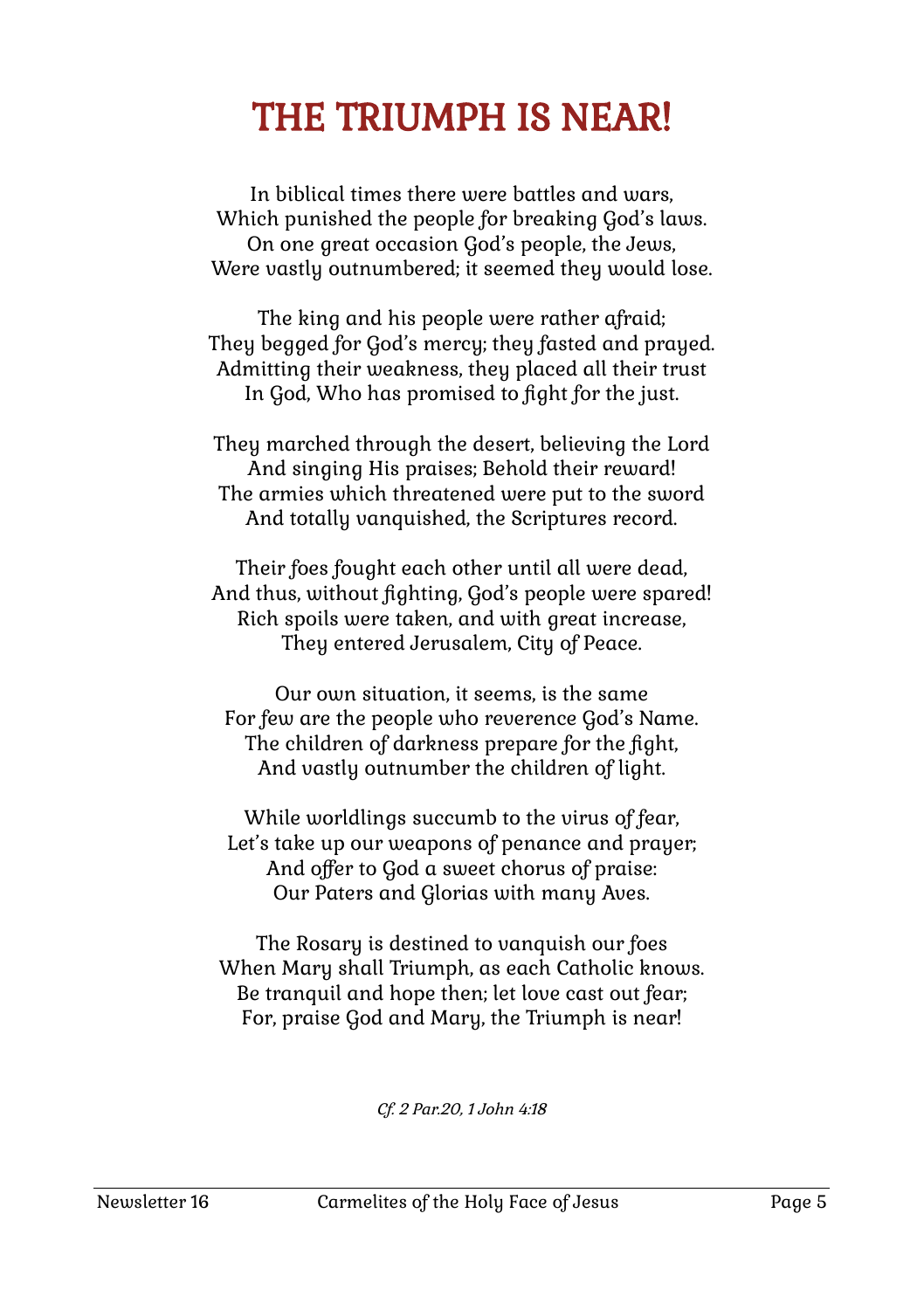### THE TRIUMPH IS NEAR!

In biblical times there were battles and wars, Which punished the people for breaking God's laws. On one great occasion God's people, the Jews, Were vastly outnumbered; it seemed they would lose.

The king and his people were rather afraid; They begged for God's mercy; they fasted and prayed. Admitting their weakness, they placed all their trust In God, Who has promised to fight for the just.

They marched through the desert, believing the Lord And singing His praises; Behold their reward! The armies which threatened were put to the sword And totally vanquished, the Scriptures record.

Their foes fought each other until all were dead, And thus, without fighting, God's people were spared! Rich spoils were taken, and with great increase, They entered Jerusalem, City of Peace.

Our own situation, it seems, is the same For few are the people who reverence God's Name. The children of darkness prepare for the fight, And vastly outnumber the children of light.

While worldlings succumb to the virus of fear, Let's take up our weapons of penance and prayer; And offer to God a sweet chorus of praise: Our Paters and Glorias with many Aves.

The Rosary is destined to vanquish our foes When Mary shall Triumph, as each Catholic knows. Be tranquil and hope then; let love cast out fear; For, praise God and Mary, the Triumph is near!

Cf. 2 Par.20, 1 John 4:18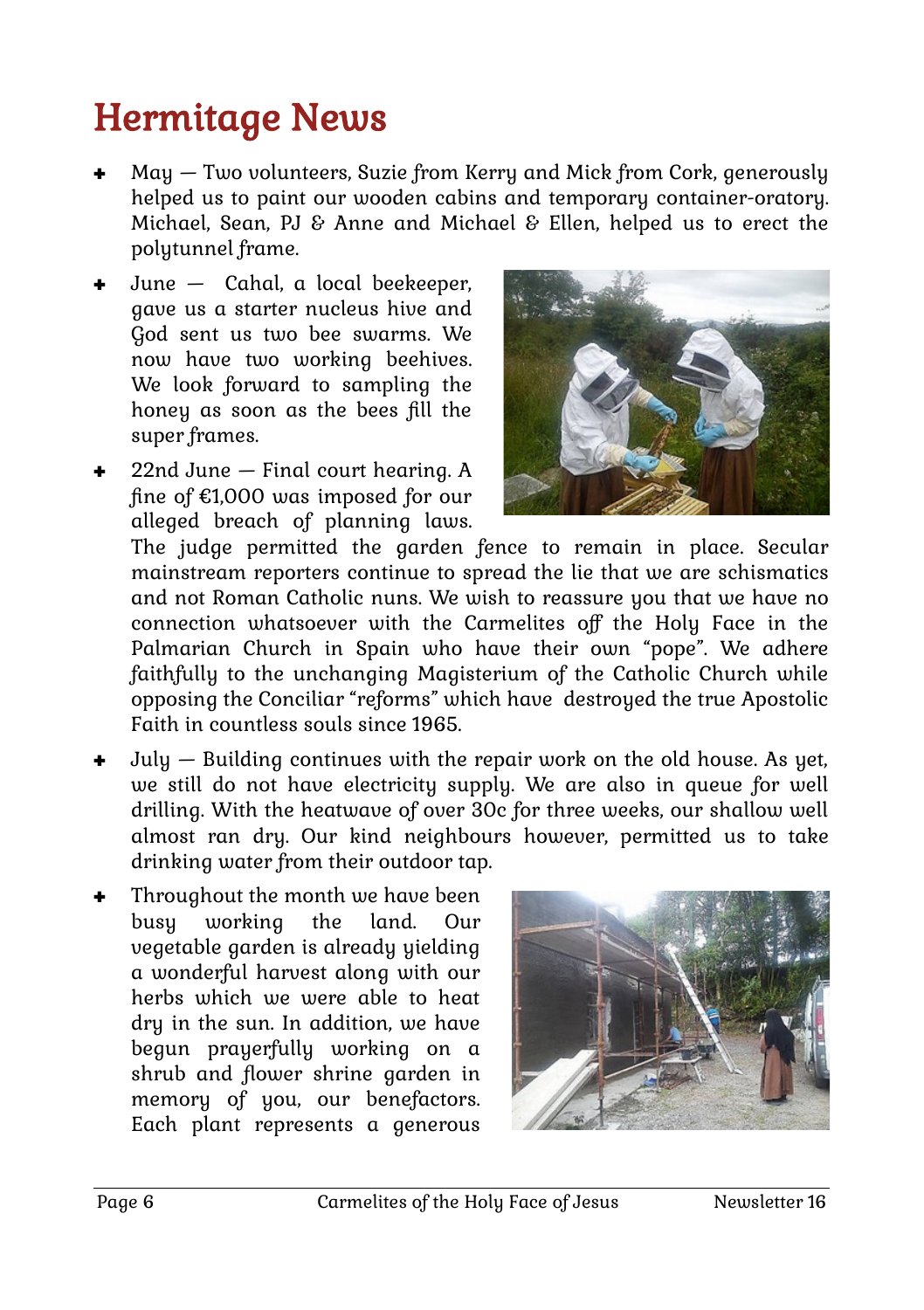## Hermitage News

- May Two volunteers, Suzie from Kerry and Mick from Cork, generously helped us to paint our wooden cabins and temporary container-oratory. Michael, Sean, PJ & Anne and Michael & Ellen, helped us to erect the polytunnel frame.
- June Cahal, a local beekeeper, gave us a starter nucleus hive and God sent us two bee swarms. We now have two working beehives. We look forward to sampling the honey as soon as the bees fill the super frames.
- 22nd June Final court hearing. A fine of €1,000 was imposed for our alleged breach of planning laws.



The judge permitted the garden fence to remain in place. Secular mainstream reporters continue to spread the lie that we are schismatics and not Roman Catholic nuns. We wish to reassure you that we have no connection whatsoever with the Carmelites off the Holy Face in the Palmarian Church in Spain who have their own "pope". We adhere faithfully to the unchanging Magisterium of the Catholic Church while opposing the Conciliar "reforms" which have destroyed the true Apostolic Faith in countless souls since 1965.

- $July Building continues with the repair work on the old house. As yet,$ we still do not have electricity supply. We are also in queue for well drilling. With the heatwave of over 30c for three weeks, our shallow well almost ran dry. Our kind neighbours however, permitted us to take drinking water from their outdoor tap.
- Throughout the month we have been busy working the land. Our vegetable garden is already yielding a wonderful harvest along with our herbs which we were able to heat dry in the sun. In addition, we have begun prayerfully working on a shrub and flower shrine garden in memory of you, our benefactors. Each plant represents a generous

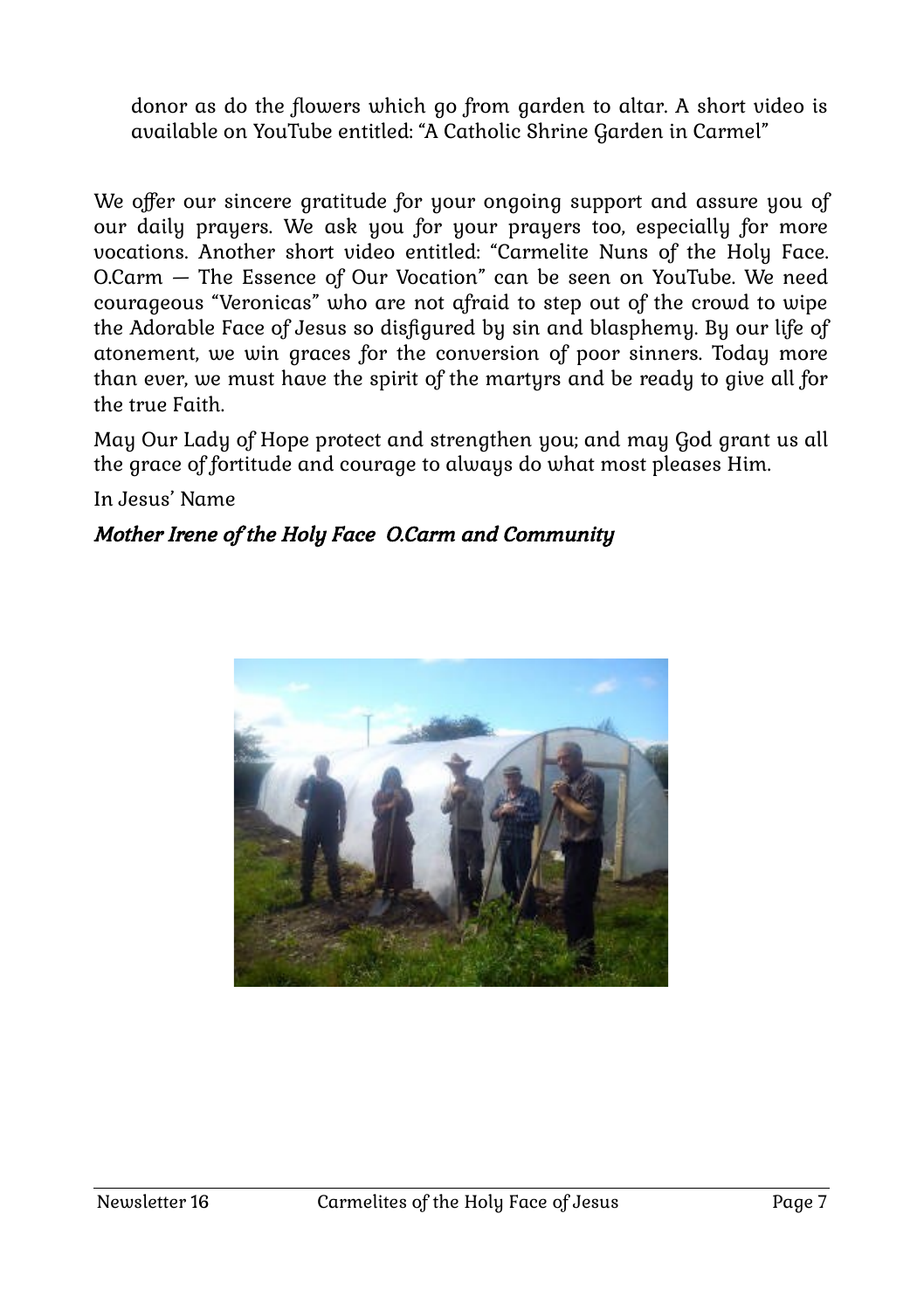donor as do the flowers which go from garden to altar. A short video is available on YouTube entitled: "A Catholic Shrine Garden in Carmel"

We offer our sincere gratitude for your ongoing support and assure you of our daily prayers. We ask you for your prayers too, especially for more vocations. Another short video entitled: "Carmelite Nuns of the Holy Face. O.Carm — The Essence of Our Vocation" can be seen on YouTube. We need courageous "Veronicas" who are not afraid to step out of the crowd to wipe the Adorable Face of Jesus so disfigured by sin and blasphemy. By our life of atonement, we win graces for the conversion of poor sinners. Today more than ever, we must have the spirit of the martyrs and be ready to give all for the true Faith.

May Our Lady of Hope protect and strengthen you; and may God grant us all the grace of fortitude and courage to always do what most pleases Him.

In Jesus' Name

### Mother Irene of the Holy Face O.Carm and Community